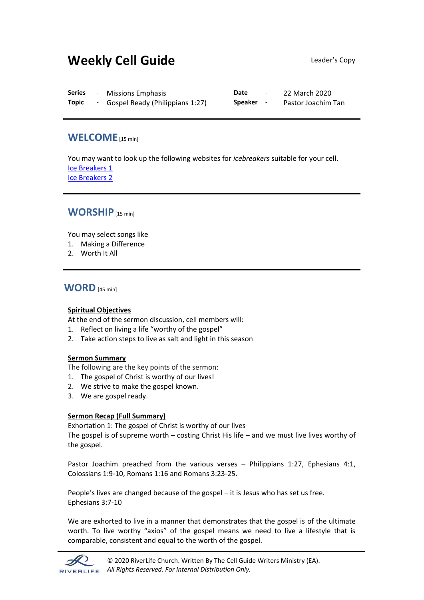# **Weekly Cell Guide Leader's Copy**

| <b>Series</b> | <b>Missions Emphasis</b>        | Date           | 22 March 2020      |
|---------------|---------------------------------|----------------|--------------------|
| <b>Topic</b>  | Gospel Ready (Philippians 1:27) | <b>Speaker</b> | Pastor Joachim Tan |

# **WELCOME**[15 min]

You may want to look up the following websites for *icebreakers* suitable for your cell. [Ice Breakers 1](http://www.thesource4ym.com/games/) [Ice Breakers 2](http://www.christianitytoday.com/smallgroups/articles/icebreakersbeyond.html)

# **WORSHIP**[15 min]

You may select songs like

- 1. Making a Difference
- 2. Worth It All

## **WORD** [45 min]

## **Spiritual Objectives**

At the end of the sermon discussion, cell members will:

- 1. Reflect on living a life "worthy of the gospel"
- 2. Take action steps to live as salt and light in this season

## **Sermon Summary**

The following are the key points of the sermon:

- 1. The gospel of Christ is worthy of our lives!
- 2. We strive to make the gospel known.
- 3. We are gospel ready.

## **Sermon Recap (Full Summary)**

Exhortation 1: The gospel of Christ is worthy of our lives

The gospel is of supreme worth – costing Christ His life – and we must live lives worthy of the gospel.

Pastor Joachim preached from the various verses – Philippians 1:27, Ephesians 4:1, Colossians 1:9-10, Romans 1:16 and Romans 3:23-25.

People's lives are changed because of the gospel – it is Jesus who has set us free. Ephesians 3:7-10

We are exhorted to live in a manner that demonstrates that the gospel is of the ultimate worth. To live worthy "axios" of the gospel means we need to live a lifestyle that is comparable, consistent and equal to the worth of the gospel.

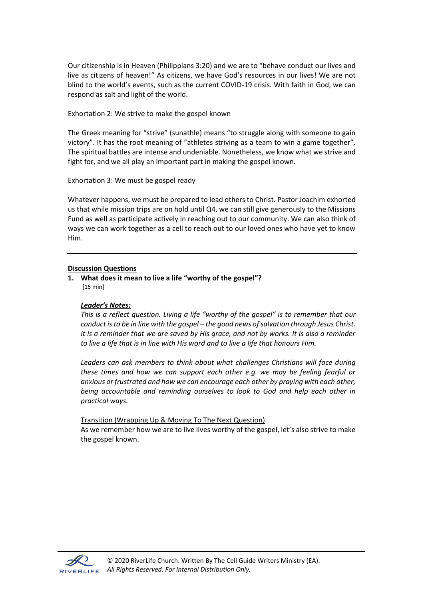Our citizenship is in Heaven (Philippians 3:20) and we are to "behave conduct our lives and live as citizens of heaven!" As citizens, we have God's resources in our lives! We are not blind to the world's events, such as the current COVID-19 crisis. With faith in God, we can respond as salt and light of the world.

Exhortation 2: We strive to make the gospel known

The Greek meaning for "strive" (sunathle) means "to struggle along with someone to gain victory". It has the root meaning of "athletes striving as a team to win a game together". The spiritual battles are intense and undeniable. Nonetheless, we know what we strive and fight for, and we all play an important part in making the gospel known.

Exhortation 3: We must be gospel ready

Whatever happens, we must be prepared to lead others to Christ. Pastor Joachim exhorted us that while mission trips are on hold until Q4, we can still give generously to the Missions Fund as well as participate actively in reaching out to our community. We can also think of ways we can work together as a cell to reach out to our loved ones who have yet to know Him.

#### **Discussion Questions**

**1. What does it mean to live a life "worthy of the gospel"?** [15 min]

## *Leader's Notes:*

*This is a reflect question. Living a life "worthy of the gospel" is to remember that our conduct isto be in line with the gospel – the good news of salvation through Jesus Christ. It is a reminder that we are saved by His grace, and not by works. It is also a reminder to live a life that is in line with His word and to live a life that honours Him.* 

Leaders can ask members to think about what challenges Christians will face during *these times and how we can support each other e.g. we may be feeling fearful or anxious or frustrated and how we can encourage each other by praying with each other, being accountable and reminding ourselves to look to God and help each other in practical ways.*

Transition (Wrapping Up & Moving To The Next Question) As we remember how we are to live lives worthy of the gospel, let's also strive to make the gospel known.

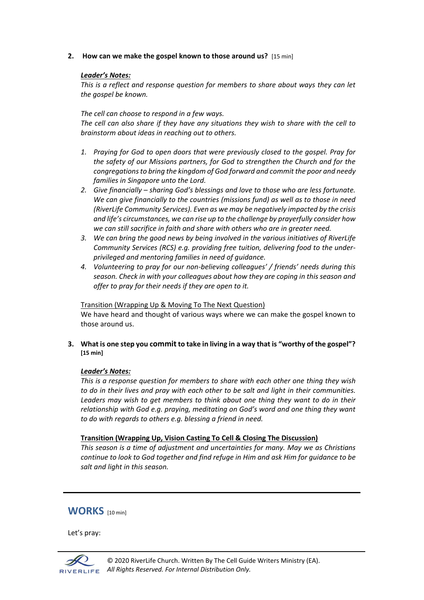**2. How can we make the gospel known to those around us?** [15 min]

#### *Leader's Notes:*

*This is a reflect and response question for members to share about ways they can let the gospel be known.* 

#### *The cell can choose to respond in a few ways.*

*The cell can also share if they have any situations they wish to share with the cell to brainstorm about ideas in reaching out to others.*

- *1. Praying for God to open doors that were previously closed to the gospel. Pray for the safety of our Missions partners, for God to strengthen the Church and for the congregations to bring the kingdom of God forward and commit the poor and needy families in Singapore unto the Lord.*
- *2. Give financially – sharing God's blessings and love to those who are less fortunate. We can give financially to the countries (missions fund) as well as to those in need (RiverLife Community Services). Even as we may be negatively impacted by the crisis and life's circumstances, we can rise up to the challenge by prayerfully consider how we can still sacrifice in faith and share with others who are in greater need.*
- *3. We can bring the good news by being involved in the various initiatives of RiverLife Community Services (RCS) e.g. providing free tuition, delivering food to the underprivileged and mentoring families in need of guidance.*
- *4. Volunteering to pray for our non-believing colleagues' / friends' needs during this season. Check in with your colleagues about how they are coping in this season and offer to pray for their needs if they are open to it.*

Transition (Wrapping Up & Moving To The Next Question) We have heard and thought of various ways where we can make the gospel known to those around us.

**3. What is one step you committo take in living in a way that is "worthy of the gospel"? [15 min]**

## *Leader's Notes:*

*This is a response question for members to share with each other one thing they wish to do in their lives and pray with each other to be salt and light in their communities. Leaders may wish to get members to think about one thing they want to do in their relationship with God e.g. praying, meditating on God's word and one thing they want to do with regards to others e.g. blessing a friend in need.* 

#### **Transition (Wrapping Up, Vision Casting To Cell & Closing The Discussion)**

*This season is a time of adjustment and uncertainties for many. May we as Christians continue to look to God together and find refuge in Him and ask Him for guidance to be salt and light in this season.* 

## **WORKS** [10 min]

Let's pray: